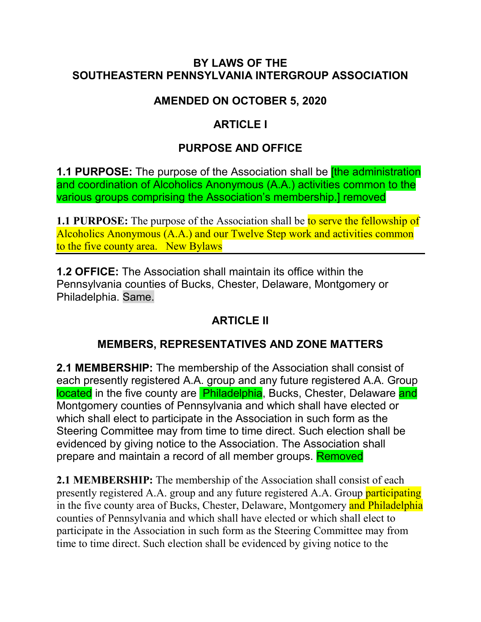#### **BY LAWS OF THE SOUTHEASTERN PENNSYLVANIA INTERGROUP ASSOCIATION**

#### **AMENDED ON OCTOBER 5, 2020**

#### **ARTICLE I**

### **PURPOSE AND OFFICE**

**1.1 PURPOSE:** The purpose of the Association shall be **[the administration**] and coordination of Alcoholics Anonymous (A.A.) activities common to the various groups comprising the Association's membership.] removed

**1.1 PURPOSE:** The purpose of the Association shall be to serve the fellowship of Alcoholics Anonymous (A.A.) and our Twelve Step work and activities common to the five county area. New Bylaws

**1.2 OFFICE:** The Association shall maintain its office within the Pennsylvania counties of Bucks, Chester, Delaware, Montgomery or Philadelphia. Same.

### **ARTICLE II**

#### **MEMBERS, REPRESENTATIVES AND ZONE MATTERS**

**2.1 MEMBERSHIP:** The membership of the Association shall consist of each presently registered A.A. group and any future registered A.A. Group located in the five county are **Philadelphia**, Bucks, Chester, Delaware and Montgomery counties of Pennsylvania and which shall have elected or which shall elect to participate in the Association in such form as the Steering Committee may from time to time direct. Such election shall be evidenced by giving notice to the Association. The Association shall prepare and maintain a record of all member groups. Removed

**2.1 MEMBERSHIP:** The membership of the Association shall consist of each presently registered A.A. group and any future registered A.A. Group participating in the five county area of Bucks, Chester, Delaware, Montgomery and Philadelphia counties of Pennsylvania and which shall have elected or which shall elect to participate in the Association in such form as the Steering Committee may from time to time direct. Such election shall be evidenced by giving notice to the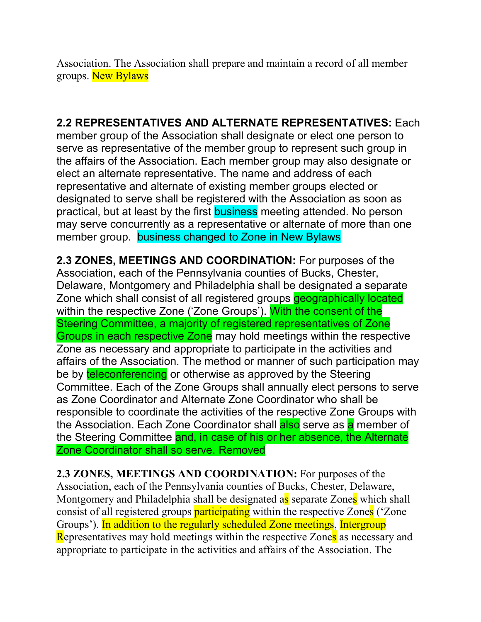Association. The Association shall prepare and maintain a record of all member groups. New Bylaws

#### **2.2 REPRESENTATIVES AND ALTERNATE REPRESENTATIVES:** Each

member group of the Association shall designate or elect one person to serve as representative of the member group to represent such group in the affairs of the Association. Each member group may also designate or elect an alternate representative. The name and address of each representative and alternate of existing member groups elected or designated to serve shall be registered with the Association as soon as practical, but at least by the first business meeting attended. No person may serve concurrently as a representative or alternate of more than one member group. business changed to Zone in New Bylaws

**2.3 ZONES, MEETINGS AND COORDINATION:** For purposes of the Association, each of the Pennsylvania counties of Bucks, Chester, Delaware, Montgomery and Philadelphia shall be designated a separate Zone which shall consist of all registered groups **geographically located** within the respective Zone ('Zone Groups'). With the consent of the Steering Committee, a majority of registered representatives of Zone Groups in each respective Zone may hold meetings within the respective Zone as necessary and appropriate to participate in the activities and affairs of the Association. The method or manner of such participation may be by teleconferencing or otherwise as approved by the Steering Committee. Each of the Zone Groups shall annually elect persons to serve as Zone Coordinator and Alternate Zone Coordinator who shall be responsible to coordinate the activities of the respective Zone Groups with the Association. Each Zone Coordinator shall also serve as a member of the Steering Committee and, in case of his or her absence, the Alternate Zone Coordinator shall so serve. Removed

**2.3 ZONES, MEETINGS AND COORDINATION:** For purposes of the Association, each of the Pennsylvania counties of Bucks, Chester, Delaware, Montgomery and Philadelphia shall be designated as separate Zones which shall consist of all registered groups **participating** within the respective Zones ('Zone Groups'). In addition to the regularly scheduled Zone meetings, Intergroup Representatives may hold meetings within the respective Zones as necessary and appropriate to participate in the activities and affairs of the Association. The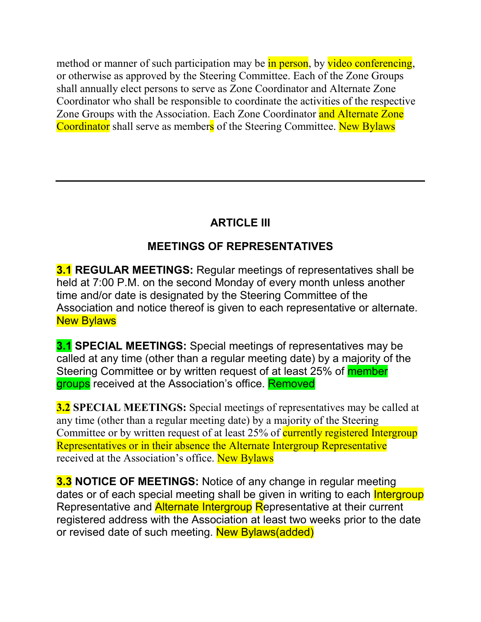method or manner of such participation may be in person, by video conferencing, or otherwise as approved by the Steering Committee. Each of the Zone Groups shall annually elect persons to serve as Zone Coordinator and Alternate Zone Coordinator who shall be responsible to coordinate the activities of the respective Zone Groups with the Association. Each Zone Coordinator and Alternate Zone Coordinator shall serve as members of the Steering Committee. New Bylaws

# **ARTICLE III**

## **MEETINGS OF REPRESENTATIVES**

**3.1 REGULAR MEETINGS:** Regular meetings of representatives shall be held at 7:00 P.M. on the second Monday of every month unless another time and/or date is designated by the Steering Committee of the Association and notice thereof is given to each representative or alternate. **New Bylaws** 

**3.1 SPECIAL MEETINGS:** Special meetings of representatives may be called at any time (other than a regular meeting date) by a majority of the Steering Committee or by written request of at least 25% of **member** groups received at the Association's office. Removed

**3.2 SPECIAL MEETINGS:** Special meetings of representatives may be called at any time (other than a regular meeting date) by a majority of the Steering Committee or by written request of at least 25% of currently registered Intergroup Representatives or in their absence the Alternate Intergroup Representative received at the Association's office. New Bylaws

**3.3 NOTICE OF MEETINGS:** Notice of any change in regular meeting dates or of each special meeting shall be given in writing to each **Intergroup** Representative and **Alternate Intergroup Representative at their current** registered address with the Association at least two weeks prior to the date or revised date of such meeting. New Bylaws(added)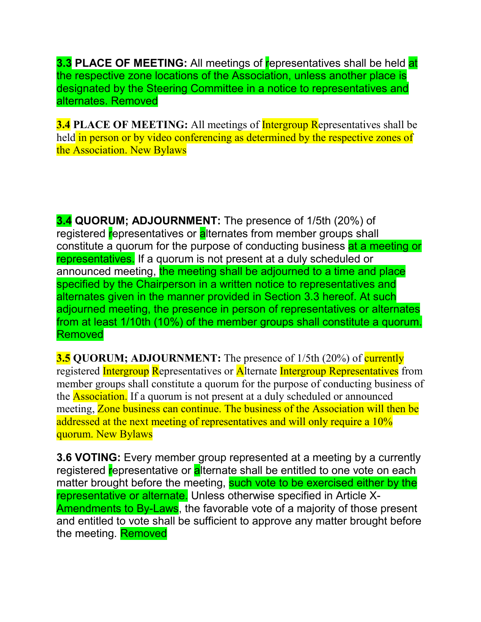**3.3 PLACE OF MEETING:** All meetings of representatives shall be held at the respective zone locations of the Association, unless another place is designated by the Steering Committee in a notice to representatives and alternates. Removed

**3.4 PLACE OF MEETING:** All meetings of **Intergroup Representatives** shall be held in person or by video conferencing as determined by the respective zones of the Association. New Bylaws

**3.4 QUORUM; ADJOURNMENT:** The presence of 1/5th (20%) of registered representatives or alternates from member groups shall constitute a quorum for the purpose of conducting business at a meeting or representatives. If a quorum is not present at a duly scheduled or announced meeting, the meeting shall be adjourned to a time and place specified by the Chairperson in a written notice to representatives and alternates given in the manner provided in Section 3.3 hereof. At such adjourned meeting, the presence in person of representatives or alternates from at least 1/10th (10%) of the member groups shall constitute a quorum. Removed

**3.5 QUORUM; ADJOURNMENT:** The presence of 1/5th (20%) of currently registered Intergroup Representatives or Alternate Intergroup Representatives from member groups shall constitute a quorum for the purpose of conducting business of the **Association.** If a quorum is not present at a duly scheduled or announced meeting, Zone business can continue. The business of the Association will then be addressed at the next meeting of representatives and will only require a 10% quorum. New Bylaws

**3.6 VOTING:** Every member group represented at a meeting by a currently registered representative or alternate shall be entitled to one vote on each matter brought before the meeting, such vote to be exercised either by the representative or alternate. Unless otherwise specified in Article X-Amendments to By-Laws, the favorable vote of a majority of those present and entitled to vote shall be sufficient to approve any matter brought before the meeting. Removed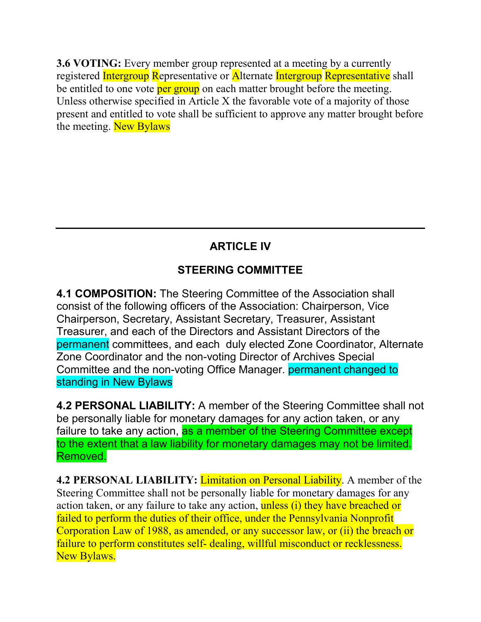**3.6 VOTING:** Every member group represented at a meeting by a currently registered Intergroup Representative or Alternate Intergroup Representative shall be entitled to one vote per group on each matter brought before the meeting. Unless otherwise specified in Article X the favorable vote of a majority of those present and entitled to vote shall be sufficient to approve any matter brought before the meeting. New Bylaws

# **ARTICLE IV**

## **STEERING COMMITTEE**

**4.1 COMPOSITION:** The Steering Committee of the Association shall consist of the following officers of the Association: Chairperson, Vice Chairperson, Secretary, Assistant Secretary, Treasurer, Assistant Treasurer, and each of the Directors and Assistant Directors of the permanent committees, and each duly elected Zone Coordinator, Alternate Zone Coordinator and the non-voting Director of Archives Special Committee and the non-voting Office Manager. permanent changed to standing in New Bylaws

**4.2 PERSONAL LIABILITY:** A member of the Steering Committee shall not be personally liable for monetary damages for any action taken, or any failure to take any action, as a member of the Steering Committee except to the extent that a law liability for monetary damages may not be limited. Removed.

**4.2 PERSONAL LIABILITY:** Limitation on Personal Liability. A member of the Steering Committee shall not be personally liable for monetary damages for any action taken, or any failure to take any action, unless (i) they have breached or failed to perform the duties of their office, under the Pennsylvania Nonprofit Corporation Law of 1988, as amended, or any successor law, or (ii) the breach or failure to perform constitutes self- dealing, willful misconduct or recklessness. New Bylaws.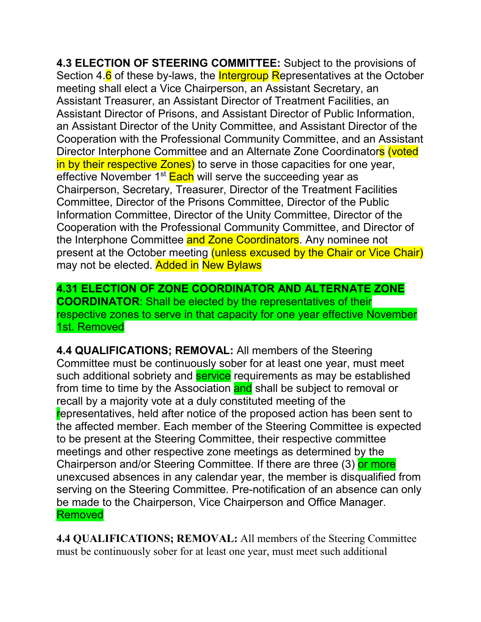**4.3 ELECTION OF STEERING COMMITTEE:** Subject to the provisions of Section 4.6 of these by-laws, the **Intergroup Representatives at the October** meeting shall elect a Vice Chairperson, an Assistant Secretary, an Assistant Treasurer, an Assistant Director of Treatment Facilities, an Assistant Director of Prisons, and Assistant Director of Public Information, an Assistant Director of the Unity Committee, and Assistant Director of the Cooperation with the Professional Community Committee, and an Assistant Director Interphone Committee and an Alternate Zone Coordinators (voted in by their respective Zones) to serve in those capacities for one year, effective November 1<sup>st</sup> Each will serve the succeeding year as Chairperson, Secretary, Treasurer, Director of the Treatment Facilities Committee, Director of the Prisons Committee, Director of the Public Information Committee, Director of the Unity Committee, Director of the Cooperation with the Professional Community Committee, and Director of the Interphone Committee and Zone Coordinators. Any nominee not present at the October meeting (unless excused by the Chair or Vice Chair) may not be elected. Added in New Bylaws

**4.31 ELECTION OF ZONE COORDINATOR AND ALTERNATE ZONE COORDINATOR**: Shall be elected by the representatives of their respective zones to serve in that capacity for one year effective November 1st. Removed

**4.4 QUALIFICATIONS; REMOVAL:** All members of the Steering Committee must be continuously sober for at least one year, must meet such additional sobriety and **service** requirements as may be established from time to time by the Association and shall be subject to removal or recall by a majority vote at a duly constituted meeting of the representatives, held after notice of the proposed action has been sent to the affected member. Each member of the Steering Committee is expected to be present at the Steering Committee, their respective committee meetings and other respective zone meetings as determined by the Chairperson and/or Steering Committee. If there are three (3) or more unexcused absences in any calendar year, the member is disqualified from serving on the Steering Committee. Pre-notification of an absence can only be made to the Chairperson, Vice Chairperson and Office Manager. Removed

**4.4 QUALIFICATIONS; REMOVAL:** All members of the Steering Committee must be continuously sober for at least one year, must meet such additional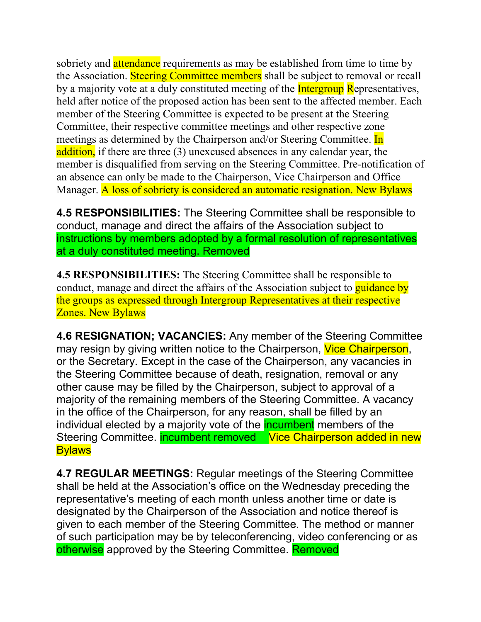sobriety and **attendance** requirements as may be established from time to time by the Association. Steering Committee members shall be subject to removal or recall by a majority vote at a duly constituted meeting of the **Intergroup Representatives**, held after notice of the proposed action has been sent to the affected member. Each member of the Steering Committee is expected to be present at the Steering Committee, their respective committee meetings and other respective zone meetings as determined by the Chairperson and/or Steering Committee. In addition, if there are three (3) unexcused absences in any calendar year, the member is disqualified from serving on the Steering Committee. Pre-notification of an absence can only be made to the Chairperson, Vice Chairperson and Office Manager. A loss of sobriety is considered an automatic resignation. New Bylaws

**4.5 RESPONSIBILITIES:** The Steering Committee shall be responsible to conduct, manage and direct the affairs of the Association subject to instructions by members adopted by a formal resolution of representatives at a duly constituted meeting. Removed

**4.5 RESPONSIBILITIES:** The Steering Committee shall be responsible to conduct, manage and direct the affairs of the Association subject to **guidance by** the groups as expressed through Intergroup Representatives at their respective Zones. New Bylaws

**4.6 RESIGNATION; VACANCIES:** Any member of the Steering Committee may resign by giving written notice to the Chairperson, Vice Chairperson, or the Secretary. Except in the case of the Chairperson, any vacancies in the Steering Committee because of death, resignation, removal or any other cause may be filled by the Chairperson, subject to approval of a majority of the remaining members of the Steering Committee. A vacancy in the office of the Chairperson, for any reason, shall be filled by an individual elected by a majority vote of the **incumbent** members of the Steering Committee. incumbent removed Vice Chairperson added in new **Bylaws** 

**4.7 REGULAR MEETINGS:** Regular meetings of the Steering Committee shall be held at the Association's office on the Wednesday preceding the representative's meeting of each month unless another time or date is designated by the Chairperson of the Association and notice thereof is given to each member of the Steering Committee. The method or manner of such participation may be by teleconferencing, video conferencing or as otherwise approved by the Steering Committee. Removed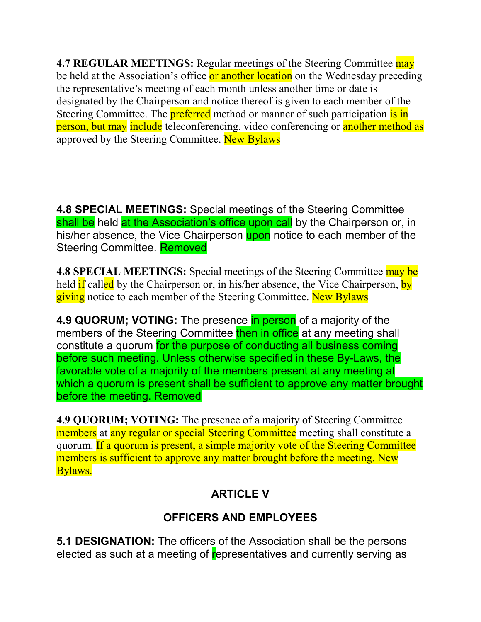**4.7 REGULAR MEETINGS:** Regular meetings of the Steering Committee may be held at the Association's office or another location on the Wednesday preceding the representative's meeting of each month unless another time or date is designated by the Chairperson and notice thereof is given to each member of the Steering Committee. The **preferred** method or manner of such participation is in person, but may include teleconferencing, video conferencing or another method as approved by the Steering Committee. New Bylaws

**4.8 SPECIAL MEETINGS:** Special meetings of the Steering Committee shall be held at the Association's office upon call by the Chairperson or, in his/her absence, the Vice Chairperson upon notice to each member of the Steering Committee. Removed

**4.8 SPECIAL MEETINGS:** Special meetings of the Steering Committee may be held if called by the Chairperson or, in his/her absence, the Vice Chairperson, by giving notice to each member of the Steering Committee. New Bylaws

**4.9 QUORUM; VOTING:** The presence in person of a majority of the members of the Steering Committee then in office at any meeting shall constitute a quorum for the purpose of conducting all business coming before such meeting. Unless otherwise specified in these By-Laws, the favorable vote of a majority of the members present at any meeting at which a quorum is present shall be sufficient to approve any matter brought before the meeting. Removed

**4.9 QUORUM; VOTING:** The presence of a majority of Steering Committee members at any regular or special Steering Committee meeting shall constitute a quorum. If a quorum is present, a simple majority vote of the Steering Committee members is sufficient to approve any matter brought before the meeting. New Bylaws.

## **ARTICLE V**

# **OFFICERS AND EMPLOYEES**

**5.1 DESIGNATION:** The officers of the Association shall be the persons elected as such at a meeting of representatives and currently serving as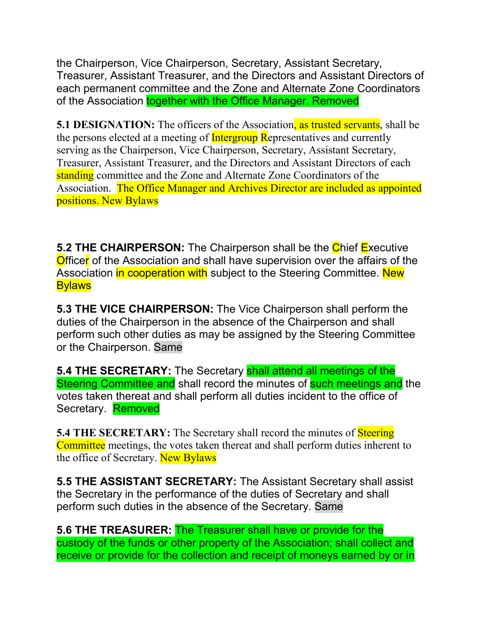the Chairperson, Vice Chairperson, Secretary, Assistant Secretary, Treasurer, Assistant Treasurer, and the Directors and Assistant Directors of each permanent committee and the Zone and Alternate Zone Coordinators of the Association together with the Office Manager. Removed

**5.1 DESIGNATION:** The officers of the Association, as trusted servants, shall be the persons elected at a meeting of **Intergroup Representatives and currently** serving as the Chairperson, Vice Chairperson, Secretary, Assistant Secretary, Treasurer, Assistant Treasurer, and the Directors and Assistant Directors of each standing committee and the Zone and Alternate Zone Coordinators of the Association. The Office Manager and Archives Director are included as appointed positions. New Bylaws

**5.2 THE CHAIRPERSON:** The Chairperson shall be the Chief Executive Officer of the Association and shall have supervision over the affairs of the Association in cooperation with subject to the Steering Committee. New **Bylaws** 

**5.3 THE VICE CHAIRPERSON:** The Vice Chairperson shall perform the duties of the Chairperson in the absence of the Chairperson and shall perform such other duties as may be assigned by the Steering Committee or the Chairperson. Same

**5.4 THE SECRETARY:** The Secretary **shall attend all meetings of the** Steering Committee and shall record the minutes of such meetings and the votes taken thereat and shall perform all duties incident to the office of Secretary. Removed

**5.4 THE SECRETARY:** The Secretary shall record the minutes of **Steering** Committee meetings, the votes taken thereat and shall perform duties inherent to the office of Secretary. New Bylaws

**5.5 THE ASSISTANT SECRETARY:** The Assistant Secretary shall assist the Secretary in the performance of the duties of Secretary and shall perform such duties in the absence of the Secretary. Same

**5.6 THE TREASURER:** The Treasurer shall have or provide for the custody of the funds or other property of the Association; shall collect and receive or provide for the collection and receipt of moneys earned by or in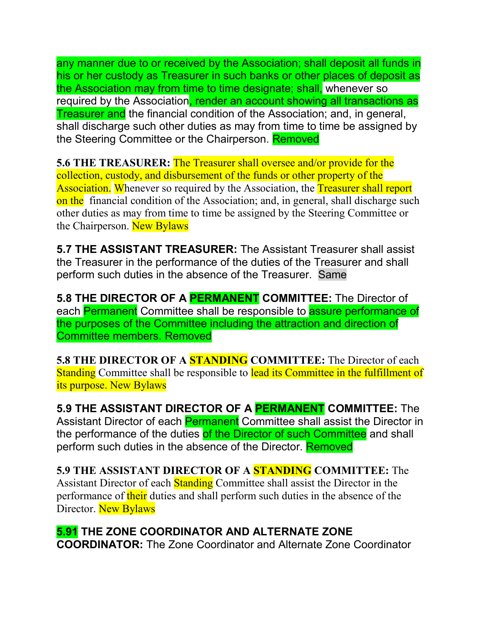any manner due to or received by the Association; shall deposit all funds in his or her custody as Treasurer in such banks or other places of deposit as the Association may from time to time designate; shall, whenever so required by the Association, render an account showing all transactions as **Treasurer and** the financial condition of the Association; and, in general, shall discharge such other duties as may from time to time be assigned by the Steering Committee or the Chairperson. Removed

**5.6 THE TREASURER:** The Treasurer shall oversee and/or provide for the collection, custody, and disbursement of the funds or other property of the Association. Whenever so required by the Association, the Treasurer shall report on the financial condition of the Association; and, in general, shall discharge such other duties as may from time to time be assigned by the Steering Committee or the Chairperson. New Bylaws

**5.7 THE ASSISTANT TREASURER:** The Assistant Treasurer shall assist the Treasurer in the performance of the duties of the Treasurer and shall perform such duties in the absence of the Treasurer. Same

**5.8 THE DIRECTOR OF A PERMANENT COMMITTEE:** The Director of each Permanent Committee shall be responsible to assure performance of the purposes of the Committee including the attraction and direction of Committee members. Removed

**5.8 THE DIRECTOR OF A STANDING COMMITTEE:** The Director of each Standing Committee shall be responsible to lead its Committee in the fulfillment of its purpose. New Bylaws

**5.9 THE ASSISTANT DIRECTOR OF A PERMANENT COMMITTEE:** The Assistant Director of each Permanent Committee shall assist the Director in the performance of the duties of the Director of such Committee and shall perform such duties in the absence of the Director. **Removed** 

**5.9 THE ASSISTANT DIRECTOR OF A STANDING COMMITTEE:** The Assistant Director of each Standing Committee shall assist the Director in the performance of their duties and shall perform such duties in the absence of the Director. New Bylaws

**5.91 THE ZONE COORDINATOR AND ALTERNATE ZONE COORDINATOR:** The Zone Coordinator and Alternate Zone Coordinator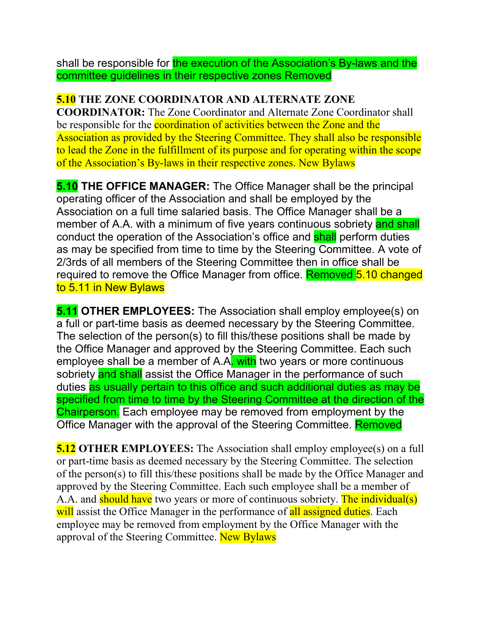shall be responsible for the execution of the Association's By-laws and the committee guidelines in their respective zones Removed

#### **5.10 THE ZONE COORDINATOR AND ALTERNATE ZONE**

**COORDINATOR:** The Zone Coordinator and Alternate Zone Coordinator shall be responsible for the coordination of activities between the Zone and the Association as provided by the Steering Committee. They shall also be responsible to lead the Zone in the fulfillment of its purpose and for operating within the scope of the Association's By-laws in their respective zones. New Bylaws

**5.10 THE OFFICE MANAGER:** The Office Manager shall be the principal operating officer of the Association and shall be employed by the Association on a full time salaried basis. The Office Manager shall be a member of A.A. with a minimum of five years continuous sobriety and shall conduct the operation of the Association's office and **shall** perform duties as may be specified from time to time by the Steering Committee. A vote of 2/3rds of all members of the Steering Committee then in office shall be required to remove the Office Manager from office. Removed 5.10 changed to 5.11 in New Bylaws

**5.11 OTHER EMPLOYEES:** The Association shall employ employee(s) on a full or part-time basis as deemed necessary by the Steering Committee. The selection of the person(s) to fill this/these positions shall be made by the Office Manager and approved by the Steering Committee. Each such employee shall be a member of A.A. with two years or more continuous sobriety and shall assist the Office Manager in the performance of such duties as usually pertain to this office and such additional duties as may be specified from time to time by the Steering Committee at the direction of the Chairperson. Each employee may be removed from employment by the Office Manager with the approval of the Steering Committee. Removed

**5.12 OTHER EMPLOYEES:** The Association shall employ employee(s) on a full or part-time basis as deemed necessary by the Steering Committee. The selection of the person(s) to fill this/these positions shall be made by the Office Manager and approved by the Steering Committee. Each such employee shall be a member of A.A. and should have two years or more of continuous sobriety. The individual(s) will assist the Office Manager in the performance of all assigned duties. Each employee may be removed from employment by the Office Manager with the approval of the Steering Committee. New Bylaws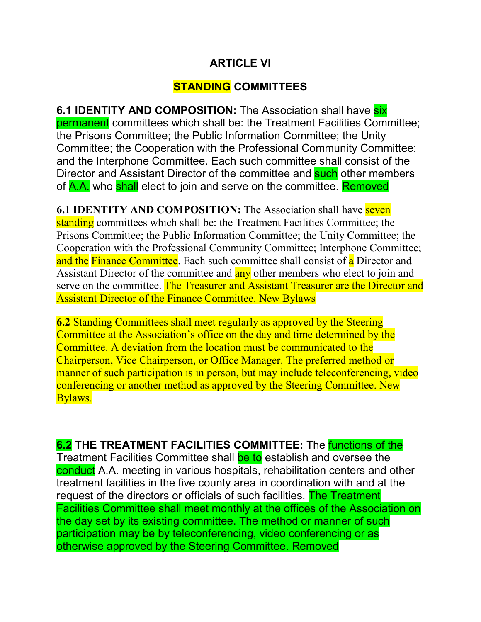#### **ARTICLE VI**

### **STANDING COMMITTEES**

**6.1 IDENTITY AND COMPOSITION:** The Association shall have **six** permanent committees which shall be: the Treatment Facilities Committee; the Prisons Committee; the Public Information Committee; the Unity Committee; the Cooperation with the Professional Community Committee; and the Interphone Committee. Each such committee shall consist of the Director and Assistant Director of the committee and **such** other members of A.A. who shall elect to join and serve on the committee. Removed

**6.1 IDENTITY AND COMPOSITION:** The Association shall have **seven** standing committees which shall be: the Treatment Facilities Committee; the Prisons Committee; the Public Information Committee; the Unity Committee; the Cooperation with the Professional Community Committee; Interphone Committee; and the Finance Committee. Each such committee shall consist of a Director and Assistant Director of the committee and any other members who elect to join and serve on the committee. The Treasurer and Assistant Treasurer are the Director and Assistant Director of the Finance Committee. New Bylaws

**6.2** Standing Committees shall meet regularly as approved by the Steering Committee at the Association's office on the day and time determined by the Committee. A deviation from the location must be communicated to the Chairperson, Vice Chairperson, or Office Manager. The preferred method or manner of such participation is in person, but may include teleconferencing, video conferencing or another method as approved by the Steering Committee. New Bylaws.

**6.2 THE TREATMENT FACILITIES COMMITTEE:** The functions of the Treatment Facilities Committee shall be to establish and oversee the conduct A.A. meeting in various hospitals, rehabilitation centers and other treatment facilities in the five county area in coordination with and at the request of the directors or officials of such facilities. The Treatment Facilities Committee shall meet monthly at the offices of the Association on the day set by its existing committee. The method or manner of such participation may be by teleconferencing, video conferencing or as otherwise approved by the Steering Committee. Removed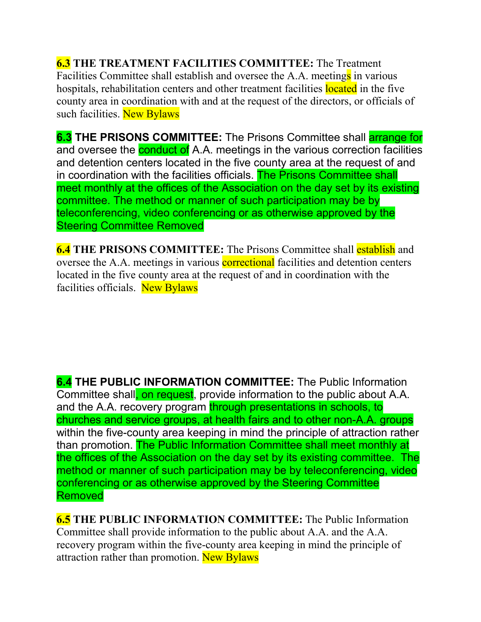**6.3 THE TREATMENT FACILITIES COMMITTEE:** The Treatment Facilities Committee shall establish and oversee the A.A. meetings in various hospitals, rehabilitation centers and other treatment facilities located in the five county area in coordination with and at the request of the directors, or officials of such facilities. New Bylaws

**6.3 THE PRISONS COMMITTEE:** The Prisons Committee shall **arrange for** and oversee the **conduct of** A.A. meetings in the various correction facilities and detention centers located in the five county area at the request of and in coordination with the facilities officials. The Prisons Committee shall meet monthly at the offices of the Association on the day set by its existing committee. The method or manner of such participation may be by teleconferencing, video conferencing or as otherwise approved by the Steering Committee Removed

**6.4 THE PRISONS COMMITTEE:** The Prisons Committee shall establish and oversee the A.A. meetings in various **correctional** facilities and detention centers located in the five county area at the request of and in coordination with the facilities officials. New Bylaws

**6.4 THE PUBLIC INFORMATION COMMITTEE:** The Public Information Committee shall, on request, provide information to the public about A.A. and the A.A. recovery program through presentations in schools, to churches and service groups, at health fairs and to other non-A.A. groups within the five-county area keeping in mind the principle of attraction rather than promotion. The Public Information Committee shall meet monthly at the offices of the Association on the day set by its existing committee. The method or manner of such participation may be by teleconferencing, video conferencing or as otherwise approved by the Steering Committee **Removed** 

**6.5 THE PUBLIC INFORMATION COMMITTEE:** The Public Information Committee shall provide information to the public about A.A. and the A.A. recovery program within the five-county area keeping in mind the principle of attraction rather than promotion. New Bylaws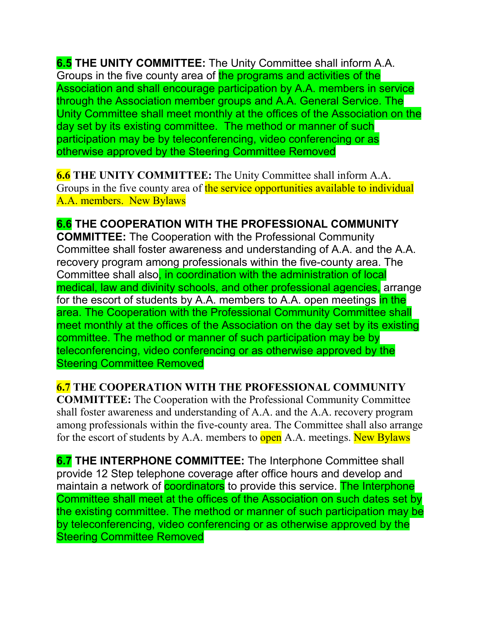**6.5 THE UNITY COMMITTEE:** The Unity Committee shall inform A.A. Groups in the five county area of the programs and activities of the Association and shall encourage participation by A.A. members in service through the Association member groups and A.A. General Service. The Unity Committee shall meet monthly at the offices of the Association on the day set by its existing committee. The method or manner of such participation may be by teleconferencing, video conferencing or as otherwise approved by the Steering Committee Removed

**6.6 THE UNITY COMMITTEE:** The Unity Committee shall inform A.A. Groups in the five county area of the service opportunities available to individual A.A. members. New Bylaws

**6.6 THE COOPERATION WITH THE PROFESSIONAL COMMUNITY COMMITTEE:** The Cooperation with the Professional Community Committee shall foster awareness and understanding of A.A. and the A.A. recovery program among professionals within the five-county area. The Committee shall also, in coordination with the administration of local medical, law and divinity schools, and other professional agencies, arrange for the escort of students by A.A. members to A.A. open meetings in the area. The Cooperation with the Professional Community Committee shall meet monthly at the offices of the Association on the day set by its existing committee. The method or manner of such participation may be by teleconferencing, video conferencing or as otherwise approved by the Steering Committee Removed

**6.7 THE COOPERATION WITH THE PROFESSIONAL COMMUNITY COMMITTEE:** The Cooperation with the Professional Community Committee shall foster awareness and understanding of A.A. and the A.A. recovery program among professionals within the five-county area. The Committee shall also arrange for the escort of students by A.A. members to open A.A. meetings. New Bylaws

**6.7 THE INTERPHONE COMMITTEE:** The Interphone Committee shall provide 12 Step telephone coverage after office hours and develop and maintain a network of **coordinators** to provide this service. The Interphone Committee shall meet at the offices of the Association on such dates set by the existing committee. The method or manner of such participation may be by teleconferencing, video conferencing or as otherwise approved by the Steering Committee Removed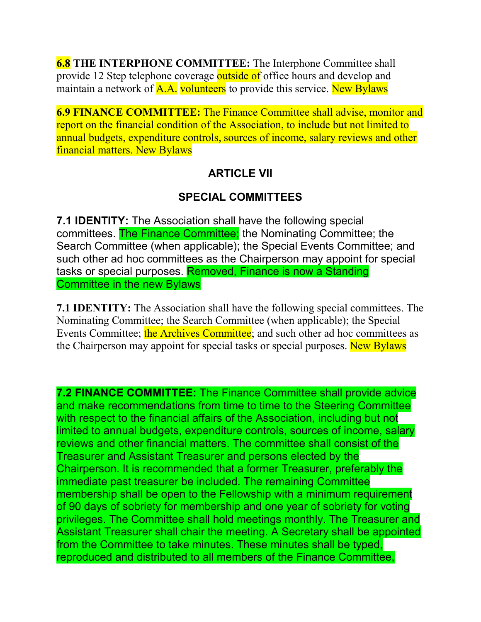**6.8 THE INTERPHONE COMMITTEE:** The Interphone Committee shall provide 12 Step telephone coverage outside of office hours and develop and maintain a network of **A.A.** volunteers to provide this service. New Bylaws

**6.9 FINANCE COMMITTEE:** The Finance Committee shall advise, monitor and report on the financial condition of the Association, to include but not limited to annual budgets, expenditure controls, sources of income, salary reviews and other financial matters. New Bylaws

### **ARTICLE VII**

### **SPECIAL COMMITTEES**

**7.1 IDENTITY:** The Association shall have the following special committees. The Finance Committee; the Nominating Committee; the Search Committee (when applicable); the Special Events Committee; and such other ad hoc committees as the Chairperson may appoint for special tasks or special purposes. Removed, Finance is now a Standing Committee in the new Bylaws

**7.1 IDENTITY:** The Association shall have the following special committees. The Nominating Committee; the Search Committee (when applicable); the Special Events Committee; the Archives Committee; and such other ad hoc committees as the Chairperson may appoint for special tasks or special purposes. New Bylaws

**7.2 FINANCE COMMITTEE:** The Finance Committee shall provide advice and make recommendations from time to time to the Steering Committee with respect to the financial affairs of the Association, including but not limited to annual budgets, expenditure controls, sources of income, salary reviews and other financial matters. The committee shall consist of the Treasurer and Assistant Treasurer and persons elected by the Chairperson. It is recommended that a former Treasurer, preferably the immediate past treasurer be included. The remaining Committee membership shall be open to the Fellowship with a minimum requirement of 90 days of sobriety for membership and one year of sobriety for voting privileges. The Committee shall hold meetings monthly. The Treasurer and Assistant Treasurer shall chair the meeting. A Secretary shall be appointed from the Committee to take minutes. These minutes shall be typed, reproduced and distributed to all members of the Finance Committee,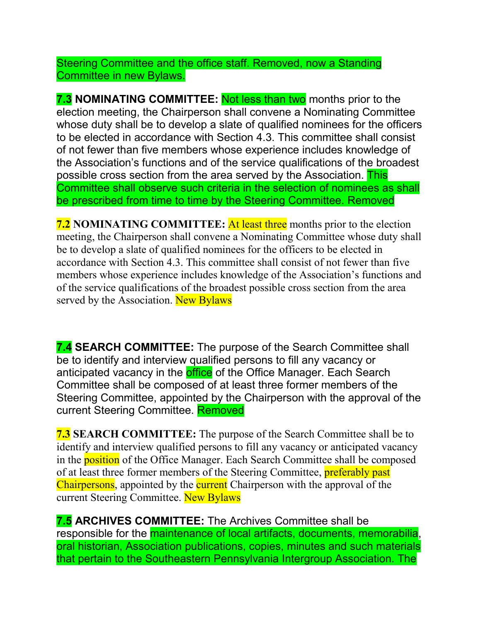Steering Committee and the office staff. Removed, now a Standing Committee in new Bylaws.

**7.3 NOMINATING COMMITTEE:** Not less than two months prior to the election meeting, the Chairperson shall convene a Nominating Committee whose duty shall be to develop a slate of qualified nominees for the officers to be elected in accordance with Section 4.3. This committee shall consist of not fewer than five members whose experience includes knowledge of the Association's functions and of the service qualifications of the broadest possible cross section from the area served by the Association. This Committee shall observe such criteria in the selection of nominees as shall be prescribed from time to time by the Steering Committee. Removed

**7.2 NOMINATING COMMITTEE:** At least three months prior to the election meeting, the Chairperson shall convene a Nominating Committee whose duty shall be to develop a slate of qualified nominees for the officers to be elected in accordance with Section 4.3. This committee shall consist of not fewer than five members whose experience includes knowledge of the Association's functions and of the service qualifications of the broadest possible cross section from the area served by the Association. New Bylaws

**7.4 SEARCH COMMITTEE:** The purpose of the Search Committee shall be to identify and interview qualified persons to fill any vacancy or anticipated vacancy in the **office** of the Office Manager. Each Search Committee shall be composed of at least three former members of the Steering Committee, appointed by the Chairperson with the approval of the current Steering Committee. Removed

**7.3 SEARCH COMMITTEE:** The purpose of the Search Committee shall be to identify and interview qualified persons to fill any vacancy or anticipated vacancy in the **position** of the Office Manager. Each Search Committee shall be composed of at least three former members of the Steering Committee, **preferably past** Chairpersons, appointed by the current Chairperson with the approval of the current Steering Committee. New Bylaws

**7.5 ARCHIVES COMMITTEE:** The Archives Committee shall be responsible for the maintenance of local artifacts, documents, memorabilia, oral historian, Association publications, copies, minutes and such materials that pertain to the Southeastern Pennsylvania Intergroup Association. The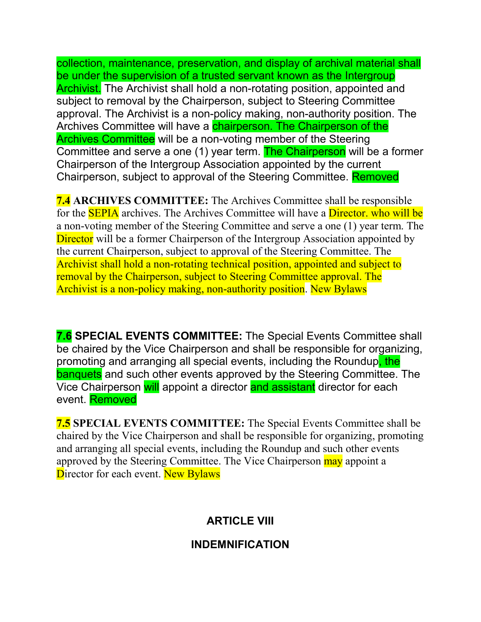collection, maintenance, preservation, and display of archival material shall be under the supervision of a trusted servant known as the Intergroup Archivist. The Archivist shall hold a non-rotating position, appointed and subject to removal by the Chairperson, subject to Steering Committee approval. The Archivist is a non-policy making, non-authority position. The Archives Committee will have a chairperson. The Chairperson of the Archives Committee will be a non-voting member of the Steering Committee and serve a one (1) year term. The Chairperson will be a former Chairperson of the Intergroup Association appointed by the current Chairperson, subject to approval of the Steering Committee. Removed

**7.4 ARCHIVES COMMITTEE:** The Archives Committee shall be responsible for the **SEPIA** archives. The Archives Committee will have a **Director**, who will be a non-voting member of the Steering Committee and serve a one (1) year term. The Director will be a former Chairperson of the Intergroup Association appointed by the current Chairperson, subject to approval of the Steering Committee. The Archivist shall hold a non-rotating technical position, appointed and subject to removal by the Chairperson, subject to Steering Committee approval. The Archivist is a non-policy making, non-authority position. New Bylaws

**7.6 SPECIAL EVENTS COMMITTEE:** The Special Events Committee shall be chaired by the Vice Chairperson and shall be responsible for organizing, promoting and arranging all special events, including the Roundup, the **banquets** and such other events approved by the Steering Committee. The Vice Chairperson will appoint a director and assistant director for each event. Removed

**7.5 SPECIAL EVENTS COMMITTEE:** The Special Events Committee shall be chaired by the Vice Chairperson and shall be responsible for organizing, promoting and arranging all special events, including the Roundup and such other events approved by the Steering Committee. The Vice Chairperson may appoint a Director for each event. New Bylaws

## **ARTICLE VIII**

#### **INDEMNIFICATION**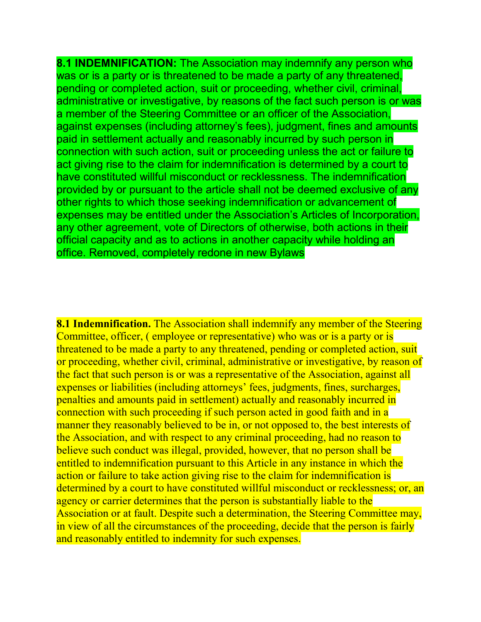**8.1 INDEMNIFICATION:** The Association may indemnify any person who was or is a party or is threatened to be made a party of any threatened, pending or completed action, suit or proceeding, whether civil, criminal, administrative or investigative, by reasons of the fact such person is or was a member of the Steering Committee or an officer of the Association, against expenses (including attorney's fees), judgment, fines and amounts paid in settlement actually and reasonably incurred by such person in connection with such action, suit or proceeding unless the act or failure to act giving rise to the claim for indemnification is determined by a court to have constituted willful misconduct or recklessness. The indemnification provided by or pursuant to the article shall not be deemed exclusive of any other rights to which those seeking indemnification or advancement of expenses may be entitled under the Association's Articles of Incorporation, any other agreement, vote of Directors of otherwise, both actions in their official capacity and as to actions in another capacity while holding an office. Removed, completely redone in new Bylaws

**8.1 Indemnification.** The Association shall indemnify any member of the Steering Committee, officer, ( employee or representative) who was or is a party or is threatened to be made a party to any threatened, pending or completed action, suit or proceeding, whether civil, criminal, administrative or investigative, by reason of the fact that such person is or was a representative of the Association, against all expenses or liabilities (including attorneys' fees, judgments, fines, surcharges, penalties and amounts paid in settlement) actually and reasonably incurred in connection with such proceeding if such person acted in good faith and in a manner they reasonably believed to be in, or not opposed to, the best interests of the Association, and with respect to any criminal proceeding, had no reason to believe such conduct was illegal, provided, however, that no person shall be entitled to indemnification pursuant to this Article in any instance in which the action or failure to take action giving rise to the claim for indemnification is determined by a court to have constituted willful misconduct or recklessness; or, an agency or carrier determines that the person is substantially liable to the Association or at fault. Despite such a determination, the Steering Committee may, in view of all the circumstances of the proceeding, decide that the person is fairly and reasonably entitled to indemnity for such expenses.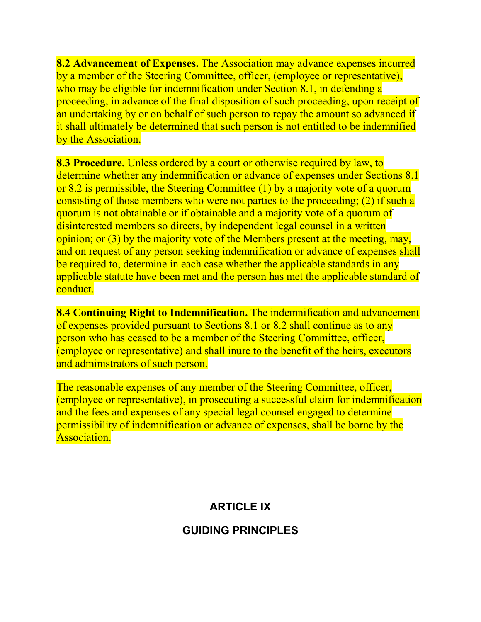**8.2 Advancement of Expenses.** The Association may advance expenses incurred by a member of the Steering Committee, officer, (employee or representative), who may be eligible for indemnification under Section 8.1, in defending a proceeding, in advance of the final disposition of such proceeding, upon receipt of an undertaking by or on behalf of such person to repay the amount so advanced if it shall ultimately be determined that such person is not entitled to be indemnified by the Association.

**8.3 Procedure.** Unless ordered by a court or otherwise required by law, to determine whether any indemnification or advance of expenses under Sections 8.1 or 8.2 is permissible, the Steering Committee (1) by a majority vote of a quorum consisting of those members who were not parties to the proceeding; (2) if such a quorum is not obtainable or if obtainable and a majority vote of a quorum of disinterested members so directs, by independent legal counsel in a written opinion; or (3) by the majority vote of the Members present at the meeting, may, and on request of any person seeking indemnification or advance of expenses shall be required to, determine in each case whether the applicable standards in any applicable statute have been met and the person has met the applicable standard of conduct.

**8.4 Continuing Right to Indemnification.** The indemnification and advancement of expenses provided pursuant to Sections 8.1 or 8.2 shall continue as to any person who has ceased to be a member of the Steering Committee, officer, (employee or representative) and shall inure to the benefit of the heirs, executors and administrators of such person.

The reasonable expenses of any member of the Steering Committee, officer, (employee or representative), in prosecuting a successful claim for indemnification and the fees and expenses of any special legal counsel engaged to determine permissibility of indemnification or advance of expenses, shall be borne by the Association.

### **ARTICLE IX**

#### **GUIDING PRINCIPLES**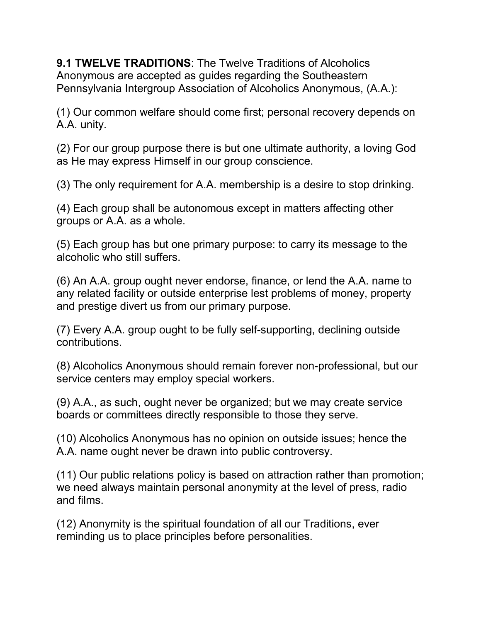**9.1 TWELVE TRADITIONS**: The Twelve Traditions of Alcoholics Anonymous are accepted as guides regarding the Southeastern Pennsylvania Intergroup Association of Alcoholics Anonymous, (A.A.):

(1) Our common welfare should come first; personal recovery depends on A.A. unity.

(2) For our group purpose there is but one ultimate authority, a loving God as He may express Himself in our group conscience.

(3) The only requirement for A.A. membership is a desire to stop drinking.

(4) Each group shall be autonomous except in matters affecting other groups or A.A. as a whole.

(5) Each group has but one primary purpose: to carry its message to the alcoholic who still suffers.

(6) An A.A. group ought never endorse, finance, or lend the A.A. name to any related facility or outside enterprise lest problems of money, property and prestige divert us from our primary purpose.

(7) Every A.A. group ought to be fully self-supporting, declining outside contributions.

(8) Alcoholics Anonymous should remain forever non-professional, but our service centers may employ special workers.

(9) A.A., as such, ought never be organized; but we may create service boards or committees directly responsible to those they serve.

(10) Alcoholics Anonymous has no opinion on outside issues; hence the A.A. name ought never be drawn into public controversy.

(11) Our public relations policy is based on attraction rather than promotion; we need always maintain personal anonymity at the level of press, radio and films.

(12) Anonymity is the spiritual foundation of all our Traditions, ever reminding us to place principles before personalities.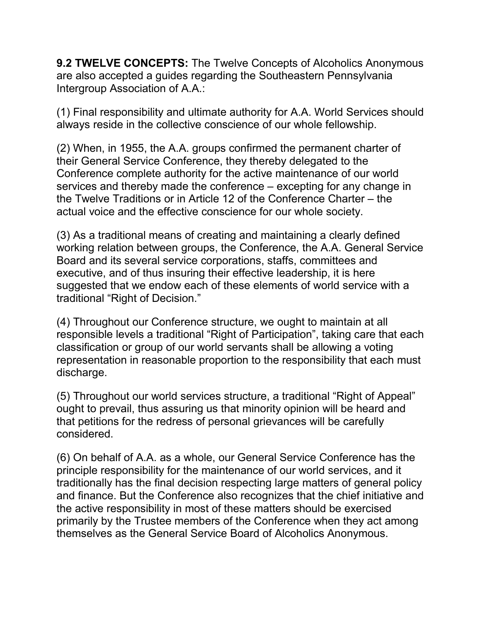**9.2 TWELVE CONCEPTS:** The Twelve Concepts of Alcoholics Anonymous are also accepted a guides regarding the Southeastern Pennsylvania Intergroup Association of A.A.:

(1) Final responsibility and ultimate authority for A.A. World Services should always reside in the collective conscience of our whole fellowship.

(2) When, in 1955, the A.A. groups confirmed the permanent charter of their General Service Conference, they thereby delegated to the Conference complete authority for the active maintenance of our world services and thereby made the conference – excepting for any change in the Twelve Traditions or in Article 12 of the Conference Charter – the actual voice and the effective conscience for our whole society.

(3) As a traditional means of creating and maintaining a clearly defined working relation between groups, the Conference, the A.A. General Service Board and its several service corporations, staffs, committees and executive, and of thus insuring their effective leadership, it is here suggested that we endow each of these elements of world service with a traditional "Right of Decision."

(4) Throughout our Conference structure, we ought to maintain at all responsible levels a traditional "Right of Participation", taking care that each classification or group of our world servants shall be allowing a voting representation in reasonable proportion to the responsibility that each must discharge.

(5) Throughout our world services structure, a traditional "Right of Appeal" ought to prevail, thus assuring us that minority opinion will be heard and that petitions for the redress of personal grievances will be carefully considered.

(6) On behalf of A.A. as a whole, our General Service Conference has the principle responsibility for the maintenance of our world services, and it traditionally has the final decision respecting large matters of general policy and finance. But the Conference also recognizes that the chief initiative and the active responsibility in most of these matters should be exercised primarily by the Trustee members of the Conference when they act among themselves as the General Service Board of Alcoholics Anonymous.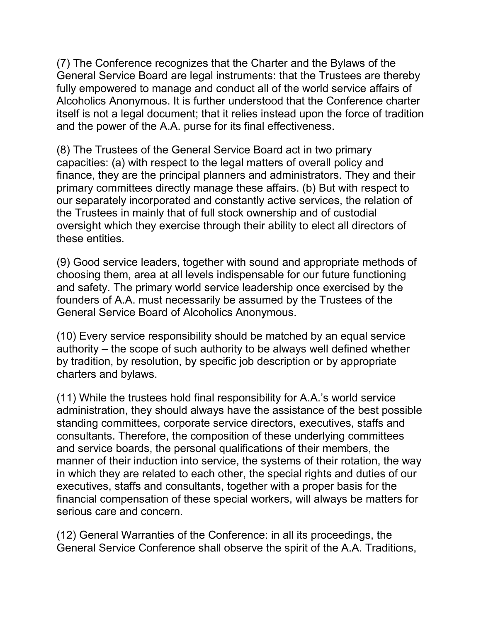(7) The Conference recognizes that the Charter and the Bylaws of the General Service Board are legal instruments: that the Trustees are thereby fully empowered to manage and conduct all of the world service affairs of Alcoholics Anonymous. It is further understood that the Conference charter itself is not a legal document; that it relies instead upon the force of tradition and the power of the A.A. purse for its final effectiveness.

(8) The Trustees of the General Service Board act in two primary capacities: (a) with respect to the legal matters of overall policy and finance, they are the principal planners and administrators. They and their primary committees directly manage these affairs. (b) But with respect to our separately incorporated and constantly active services, the relation of the Trustees in mainly that of full stock ownership and of custodial oversight which they exercise through their ability to elect all directors of these entities.

(9) Good service leaders, together with sound and appropriate methods of choosing them, area at all levels indispensable for our future functioning and safety. The primary world service leadership once exercised by the founders of A.A. must necessarily be assumed by the Trustees of the General Service Board of Alcoholics Anonymous.

(10) Every service responsibility should be matched by an equal service authority – the scope of such authority to be always well defined whether by tradition, by resolution, by specific job description or by appropriate charters and bylaws.

(11) While the trustees hold final responsibility for A.A.'s world service administration, they should always have the assistance of the best possible standing committees, corporate service directors, executives, staffs and consultants. Therefore, the composition of these underlying committees and service boards, the personal qualifications of their members, the manner of their induction into service, the systems of their rotation, the way in which they are related to each other, the special rights and duties of our executives, staffs and consultants, together with a proper basis for the financial compensation of these special workers, will always be matters for serious care and concern.

(12) General Warranties of the Conference: in all its proceedings, the General Service Conference shall observe the spirit of the A.A. Traditions,